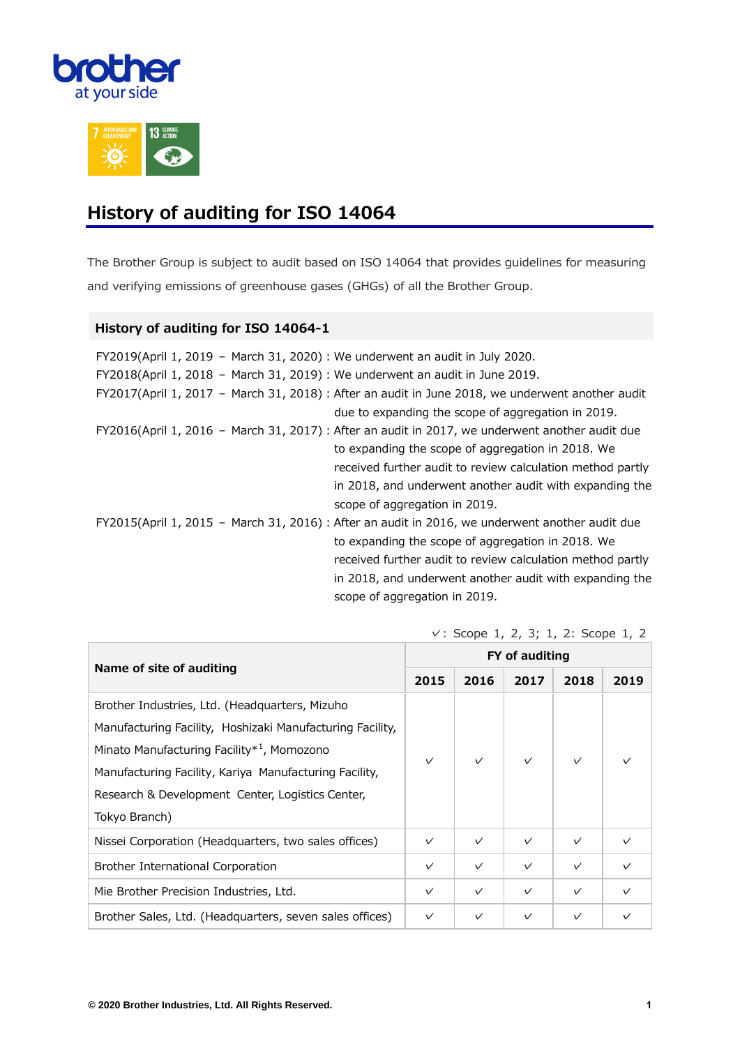



#### **History of auditing for ISO 14064**

The Brother Group is subject to audit based on ISO 14064 that provides guidelines for measuring and verifying emissions of greenhouse gases (GHGs) of all the Brother Group.

#### **History of auditing for ISO 14064-1**

| FY2019(April 1, 2019 - March 31, 2020) : We underwent an audit in July 2020. |                                                                                                  |
|------------------------------------------------------------------------------|--------------------------------------------------------------------------------------------------|
| FY2018(April 1, 2018 - March 31, 2019) : We underwent an audit in June 2019. |                                                                                                  |
|                                                                              | FY2017(April 1, 2017 - March 31, 2018) : After an audit in June 2018, we underwent another audit |
|                                                                              | due to expanding the scope of aggregation in 2019.                                               |
|                                                                              | FY2016(April 1, 2016 - March 31, 2017) : After an audit in 2017, we underwent another audit due  |
|                                                                              | to expanding the scope of aggregation in 2018. We                                                |
|                                                                              | received further audit to review calculation method partly                                       |
|                                                                              | in 2018, and underwent another audit with expanding the                                          |
|                                                                              | scope of aggregation in 2019.                                                                    |
|                                                                              | FY2015(April 1, 2015 - March 31, 2016) : After an audit in 2016, we underwent another audit due  |
|                                                                              | to expanding the scope of aggregation in 2018. We                                                |
|                                                                              | received further audit to review calculation method partly                                       |
|                                                                              | in 2018, and underwent another audit with expanding the                                          |
|                                                                              | scope of aggregation in 2019.                                                                    |

| Name of site of auditing                                  |              | FY of auditing |              |              |              |  |  |
|-----------------------------------------------------------|--------------|----------------|--------------|--------------|--------------|--|--|
|                                                           |              | 2016           | 2017         | 2018         | 2019         |  |  |
| Brother Industries, Ltd. (Headquarters, Mizuho            |              |                |              |              |              |  |  |
| Manufacturing Facility, Hoshizaki Manufacturing Facility, | $\checkmark$ |                | $\vee$       | $\checkmark$ |              |  |  |
| Minato Manufacturing Facility <sup>*1</sup> , Momozono    |              | $\checkmark$   |              |              |              |  |  |
| Manufacturing Facility, Kariya Manufacturing Facility,    |              |                |              |              |              |  |  |
| Research & Development Center, Logistics Center,          |              |                |              |              |              |  |  |
| Tokyo Branch)                                             |              |                |              |              |              |  |  |
| Nissei Corporation (Headquarters, two sales offices)      | $\checkmark$ | $\checkmark$   | $\checkmark$ | $\checkmark$ | $\checkmark$ |  |  |
| Brother International Corporation                         | $\checkmark$ | $\checkmark$   | $\checkmark$ | $\checkmark$ | $\checkmark$ |  |  |
| Mie Brother Precision Industries, Ltd.                    | $\checkmark$ | $\checkmark$   | $\checkmark$ | $\checkmark$ | $\checkmark$ |  |  |
| Brother Sales, Ltd. (Headquarters, seven sales offices)   | $\checkmark$ | $\checkmark$   | $\checkmark$ | $\checkmark$ | $\checkmark$ |  |  |

✓: Scope 1, 2, 3; 1, 2: Scope 1, 2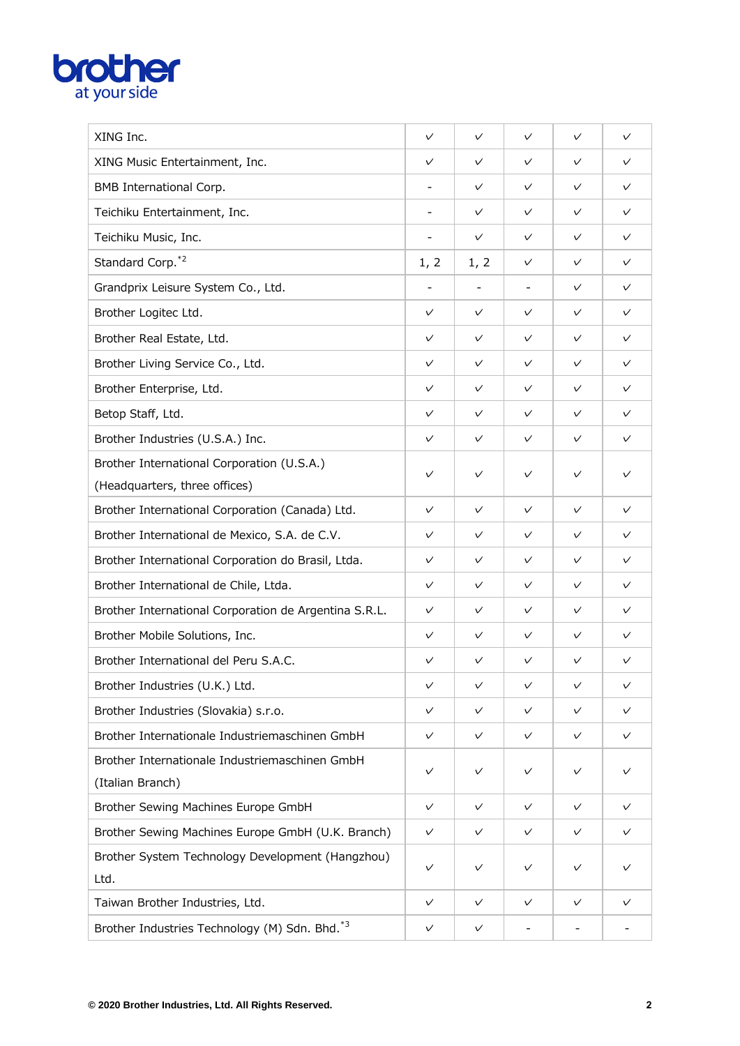# **brother**

| XING Inc.                                                 | $\checkmark$             | $\checkmark$             | $\checkmark$             | $\checkmark$ | $\checkmark$ |
|-----------------------------------------------------------|--------------------------|--------------------------|--------------------------|--------------|--------------|
| XING Music Entertainment, Inc.                            | $\checkmark$             | $\checkmark$             | $\checkmark$             | $\checkmark$ | $\checkmark$ |
| BMB International Corp.                                   | $\overline{\phantom{a}}$ | $\checkmark$             | $\checkmark$             | $\checkmark$ | $\checkmark$ |
| Teichiku Entertainment, Inc.                              | $\overline{\phantom{a}}$ | $\checkmark$             | $\checkmark$             | $\checkmark$ | $\checkmark$ |
| Teichiku Music, Inc.                                      | $\overline{\phantom{a}}$ | $\checkmark$             | $\checkmark$             | $\checkmark$ | $\checkmark$ |
| Standard Corp. <sup>*2</sup>                              | 1, 2                     | 1, 2                     | $\checkmark$             | $\checkmark$ | $\checkmark$ |
| Grandprix Leisure System Co., Ltd.                        | $\overline{\phantom{a}}$ | $\overline{\phantom{a}}$ | $\overline{\phantom{a}}$ | $\checkmark$ | $\checkmark$ |
| Brother Logitec Ltd.                                      | $\checkmark$             | $\checkmark$             | $\checkmark$             | $\checkmark$ | $\checkmark$ |
| Brother Real Estate, Ltd.                                 | $\checkmark$             | $\checkmark$             | $\checkmark$             | $\checkmark$ | $\checkmark$ |
| Brother Living Service Co., Ltd.                          | $\checkmark$             | $\checkmark$             | $\checkmark$             | $\checkmark$ | $\checkmark$ |
| Brother Enterprise, Ltd.                                  | $\checkmark$             | $\checkmark$             | $\checkmark$             | $\checkmark$ | $\checkmark$ |
| Betop Staff, Ltd.                                         | $\checkmark$             | $\checkmark$             | $\checkmark$             | $\checkmark$ | $\checkmark$ |
| Brother Industries (U.S.A.) Inc.                          | $\checkmark$             | $\checkmark$             | $\checkmark$             | $\checkmark$ | $\checkmark$ |
| Brother International Corporation (U.S.A.)                | $\checkmark$             | $\checkmark$             | $\checkmark$             | $\checkmark$ | $\checkmark$ |
| (Headquarters, three offices)                             |                          |                          |                          |              |              |
| Brother International Corporation (Canada) Ltd.           | $\checkmark$             | $\checkmark$             | $\checkmark$             | $\checkmark$ | $\checkmark$ |
| Brother International de Mexico, S.A. de C.V.             | $\checkmark$             | $\checkmark$             | $\checkmark$             | $\checkmark$ | $\checkmark$ |
| Brother International Corporation do Brasil, Ltda.        | $\checkmark$             | $\checkmark$             | $\checkmark$             | $\checkmark$ | $\checkmark$ |
| Brother International de Chile, Ltda.                     | $\checkmark$             | $\checkmark$             | $\checkmark$             | $\checkmark$ | $\checkmark$ |
| Brother International Corporation de Argentina S.R.L.     | $\checkmark$             | $\checkmark$             | $\checkmark$             | $\checkmark$ | $\checkmark$ |
| Brother Mobile Solutions, Inc.                            | $\checkmark$             | $\checkmark$             | $\checkmark$             | $\checkmark$ | $\checkmark$ |
| Brother International del Peru S.A.C.                     | $\checkmark$             | $\checkmark$             | $\checkmark$             | $\checkmark$ | $\checkmark$ |
| Brother Industries (U.K.) Ltd.                            | $\checkmark$             | $\checkmark$             | $\checkmark$             | $\checkmark$ | $\checkmark$ |
| Brother Industries (Slovakia) s.r.o.                      | $\checkmark$             | $\checkmark$             | $\checkmark$             | $\checkmark$ | $\checkmark$ |
| Brother Internationale Industriemaschinen GmbH            | $\checkmark$             | $\checkmark$             | $\checkmark$             | $\checkmark$ | $\checkmark$ |
| Brother Internationale Industriemaschinen GmbH            | $\checkmark$             | $\checkmark$             | $\checkmark$             | $\checkmark$ | $\checkmark$ |
| (Italian Branch)                                          |                          |                          |                          |              |              |
| Brother Sewing Machines Europe GmbH                       | $\checkmark$             | $\checkmark$             | $\checkmark$             | $\checkmark$ | $\checkmark$ |
| Brother Sewing Machines Europe GmbH (U.K. Branch)         | $\checkmark$             | $\checkmark$             | $\checkmark$             | $\checkmark$ | $\checkmark$ |
| Brother System Technology Development (Hangzhou)<br>Ltd.  | $\checkmark$             | $\checkmark$             | $\checkmark$             | $\checkmark$ | $\checkmark$ |
| Taiwan Brother Industries, Ltd.                           | $\checkmark$             | $\checkmark$             | $\checkmark$             | $\checkmark$ | $\checkmark$ |
| Brother Industries Technology (M) Sdn. Bhd. <sup>*3</sup> | $\checkmark$             | $\checkmark$             | $\overline{\phantom{a}}$ |              |              |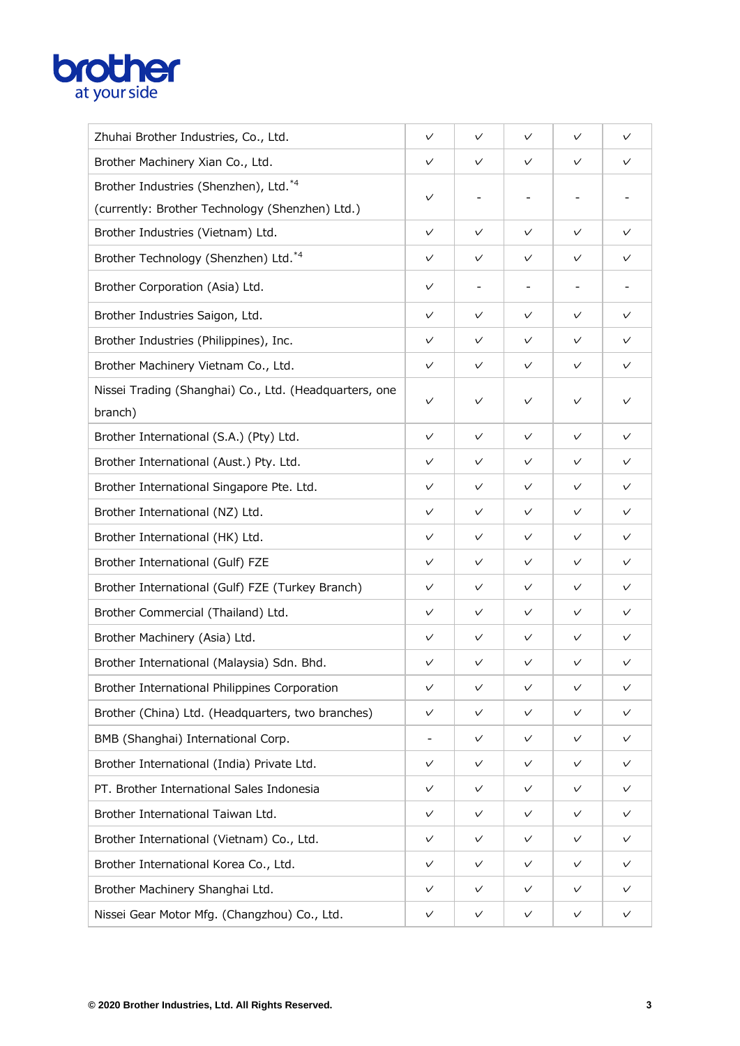# **brother**

| Zhuhai Brother Industries, Co., Ltd.                              | $\checkmark$             | $\checkmark$ | $\checkmark$             | $\checkmark$ | $\checkmark$ |
|-------------------------------------------------------------------|--------------------------|--------------|--------------------------|--------------|--------------|
| Brother Machinery Xian Co., Ltd.                                  | $\checkmark$             | $\checkmark$ | $\checkmark$             | $\checkmark$ | $\checkmark$ |
| Brother Industries (Shenzhen), Ltd.*4                             | $\checkmark$             |              |                          |              |              |
| (currently: Brother Technology (Shenzhen) Ltd.)                   |                          |              |                          |              |              |
| Brother Industries (Vietnam) Ltd.                                 | $\checkmark$             | $\checkmark$ | $\checkmark$             | $\checkmark$ | $\checkmark$ |
| Brother Technology (Shenzhen) Ltd.*4                              | $\checkmark$             | $\checkmark$ | $\checkmark$             | $\checkmark$ | $\checkmark$ |
| Brother Corporation (Asia) Ltd.                                   | $\checkmark$             |              | $\overline{\phantom{a}}$ |              |              |
| Brother Industries Saigon, Ltd.                                   | $\checkmark$             | $\checkmark$ | $\checkmark$             | $\checkmark$ | $\checkmark$ |
| Brother Industries (Philippines), Inc.                            | $\checkmark$             | $\checkmark$ | $\checkmark$             | $\checkmark$ | $\checkmark$ |
| Brother Machinery Vietnam Co., Ltd.                               | $\checkmark$             | $\checkmark$ | $\checkmark$             | $\checkmark$ | $\checkmark$ |
| Nissei Trading (Shanghai) Co., Ltd. (Headquarters, one<br>branch) | $\checkmark$             | $\checkmark$ | $\checkmark$             | $\checkmark$ | $\checkmark$ |
| Brother International (S.A.) (Pty) Ltd.                           | $\checkmark$             | $\checkmark$ | $\checkmark$             | $\checkmark$ | $\checkmark$ |
| Brother International (Aust.) Pty. Ltd.                           | $\checkmark$             | $\checkmark$ | $\checkmark$             | $\checkmark$ | $\checkmark$ |
| Brother International Singapore Pte. Ltd.                         | $\checkmark$             | $\checkmark$ | $\checkmark$             | $\checkmark$ | $\checkmark$ |
| Brother International (NZ) Ltd.                                   | $\checkmark$             | $\checkmark$ | $\checkmark$             | $\checkmark$ | $\checkmark$ |
| Brother International (HK) Ltd.                                   | $\checkmark$             | $\checkmark$ | $\checkmark$             | $\checkmark$ | $\checkmark$ |
| Brother International (Gulf) FZE                                  | $\checkmark$             | $\checkmark$ | $\checkmark$             | $\checkmark$ | $\checkmark$ |
| Brother International (Gulf) FZE (Turkey Branch)                  | $\checkmark$             | $\checkmark$ | $\checkmark$             | $\checkmark$ | $\checkmark$ |
| Brother Commercial (Thailand) Ltd.                                | $\checkmark$             | $\checkmark$ | $\checkmark$             | $\checkmark$ | $\checkmark$ |
| Brother Machinery (Asia) Ltd.                                     | $\checkmark$             | $\checkmark$ | $\checkmark$             | $\checkmark$ | $\checkmark$ |
| Brother International (Malaysia) Sdn. Bhd.                        | $\checkmark$             | $\checkmark$ | $\checkmark$             | $\checkmark$ | $\checkmark$ |
| Brother International Philippines Corporation                     | $\checkmark$             | $\checkmark$ | $\checkmark$             | $\checkmark$ | $\checkmark$ |
| Brother (China) Ltd. (Headquarters, two branches)                 | $\checkmark$             | $\checkmark$ | $\checkmark$             | $\checkmark$ | $\checkmark$ |
| BMB (Shanghai) International Corp.                                | $\overline{\phantom{a}}$ | $\checkmark$ | $\checkmark$             | $\checkmark$ | $\checkmark$ |
| Brother International (India) Private Ltd.                        | $\checkmark$             | $\checkmark$ | $\checkmark$             | $\checkmark$ | $\checkmark$ |
| PT. Brother International Sales Indonesia                         | $\checkmark$             | $\checkmark$ | $\checkmark$             | $\checkmark$ | $\checkmark$ |
| Brother International Taiwan Ltd.                                 | $\checkmark$             | $\checkmark$ | $\checkmark$             | $\checkmark$ | $\checkmark$ |
| Brother International (Vietnam) Co., Ltd.                         | $\checkmark$             | $\checkmark$ | $\checkmark$             | $\checkmark$ | $\checkmark$ |
| Brother International Korea Co., Ltd.                             | $\checkmark$             | $\checkmark$ | $\checkmark$             | $\checkmark$ | $\checkmark$ |
| Brother Machinery Shanghai Ltd.                                   | $\checkmark$             | $\checkmark$ | $\checkmark$             | $\checkmark$ | $\checkmark$ |
| Nissei Gear Motor Mfg. (Changzhou) Co., Ltd.                      | $\checkmark$             | $\checkmark$ | $\checkmark$             | $\checkmark$ | $\checkmark$ |